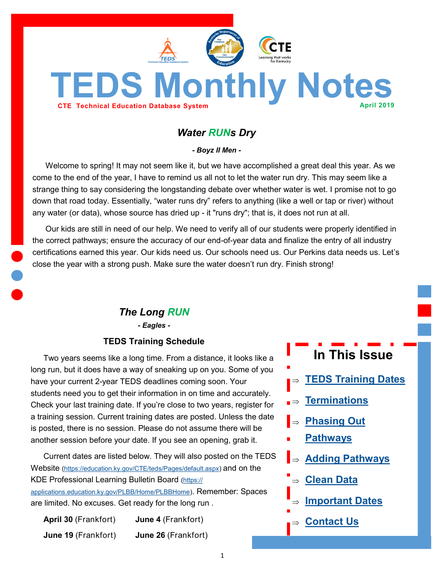

# <span id="page-0-0"></span>**TEDS Monthly Notes**

# *Water RUNs Dry*

*- Boyz II Men -*

Welcome to spring! It may not seem like it, but we have accomplished a great deal this year. As we come to the end of the year, I have to remind us all not to let the water run dry. This may seem like a strange thing to say considering the longstanding debate over whether water is wet. I promise not to go down that road today. Essentially, "water runs dry" refers to anything (like a well or tap or river) without any water (or data), whose source has dried up - it "runs dry"; that is, it does not run at all.

Our kids are still in need of our help. We need to verify all of our students were properly identified in the correct pathways; ensure the accuracy of our end-of-year data and finalize the entry of all industry certifications earned this year. Our kids need us. Our schools need us. Our Perkins data needs us. Let's close the year with a strong push. Make sure the water doesn't run dry. Finish strong!

# *The Long RUN*

*- Eagles -*

#### **TEDS Training Schedule**

Two years seems like a long time. From a distance, it looks like a long run, but it does have a way of sneaking up on you. Some of you have your current 2-year TEDS deadlines coming soon. Your students need you to get their information in on time and accurately. Check your last training date. If you're close to two years, register for a training session. Current training dates are posted. Unless the date is posted, there is no session. Please do not assume there will be another session before your date. If you see an opening, grab it.

Current dates are listed below. They will also posted on the TEDS Website [\(https://education.ky.gov/CTE/teds/Pages/default.aspx\)](https://education.ky.gov/CTE/teds/Pages/default.aspx) and on the KDE Professional Learning Bulletin Board [\(https://](https://applications.education.ky.gov/PLBB/Home/PLBBHome) [applications.education.ky.gov/PLBB/Home/PLBBHome\)](https://applications.education.ky.gov/PLBB/Home/PLBBHome). Remember: Spaces are limited. No excuses. Get ready for the long run .

| <b>April 30 (Frankfort)</b> | <b>June 4</b> (Frankfort) |
|-----------------------------|---------------------------|
| June 19 (Frankfort)         | June 26 (Frankfort)       |

# **In This Issue**

- **[TEDS Training Dates](#page-0-0)**
- **[Terminations](#page-1-0)**
- **[Phasing Out](#page-2-0)**
- **[Pathways](#page-2-0)**
- **[Adding Pathways](#page-2-0)**
- **[Clean Data](#page-3-0)**
- **[Important Dates](#page-3-0)**
- **[Contact Us](#page-4-0)**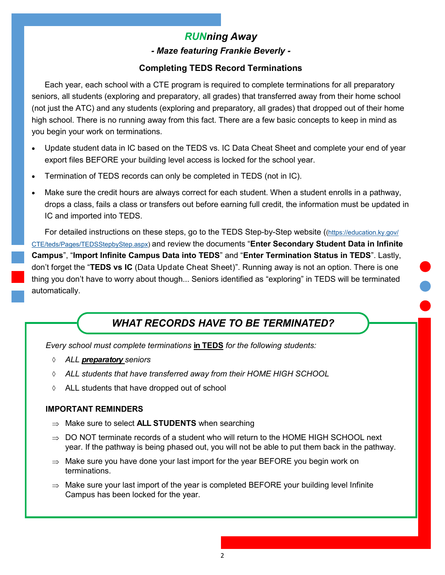## *RUNning Away - Maze featuring Frankie Beverly -*

#### **Completing TEDS Record Terminations**

<span id="page-1-0"></span>Each year, each school with a CTE program is required to complete terminations for all preparatory seniors, all students (exploring and preparatory, all grades) that transferred away from their home school (not just the ATC) and any students (exploring and preparatory, all grades) that dropped out of their home high school. There is no running away from this fact. There are a few basic concepts to keep in mind as you begin your work on terminations.

- Update student data in IC based on the TEDS vs. IC Data Cheat Sheet and complete your end of year export files BEFORE your building level access is locked for the school year.
- Termination of TEDS records can only be completed in TEDS (not in IC).
- Make sure the credit hours are always correct for each student. When a student enrolls in a pathway, drops a class, fails a class or transfers out before earning full credit, the information must be updated in IC and imported into TEDS.

For detailed instructions on these steps, go to the TEDS Step-by-Step website (([https://education.ky.gov/](https://education.ky.gov/CTE/teds/Pages/TEDSStepbyStep.aspx) [CTE/teds/Pages/TEDSStepbyStep.aspx\)](https://education.ky.gov/CTE/teds/Pages/TEDSStepbyStep.aspx) and review the documents "**Enter Secondary Student Data in Infinite Campus**", "**Import Infinite Campus Data into TEDS**" and "**Enter Termination Status in TEDS**". Lastly, don't forget the "**TEDS vs IC** (Data Update Cheat Sheet)". Running away is not an option. There is one thing you don't have to worry about though... Seniors identified as "exploring" in TEDS will be terminated automatically.

# *WHAT RECORDS HAVE TO BE TERMINATED?*

*Every school must complete terminations* **in TEDS** *for the following students:*

- *ALL preparatory seniors*
- *ALL students that have transferred away from their HOME HIGH SCHOOL*
- ALL students that have dropped out of school

#### **IMPORTANT REMINDERS**

- $\Rightarrow$  Make sure to select **ALL STUDENTS** when searching
- $\Rightarrow$  DO NOT terminate records of a student who will return to the HOME HIGH SCHOOL next year. If the pathway is being phased out, you will not be able to put them back in the pathway.
- $\Rightarrow$  Make sure you have done your last import for the year BEFORE you begin work on terminations.
- $\Rightarrow$  Make sure your last import of the year is completed BEFORE your building level Infinite Campus has been locked for the year.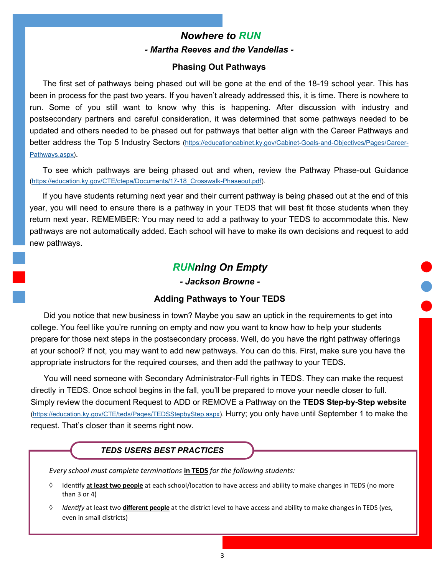# *Nowhere to RUN - Martha Reeves and the Vandellas -*

#### **Phasing Out Pathways**

<span id="page-2-0"></span>The first set of pathways being phased out will be gone at the end of the 18-19 school year. This has been in process for the past two years. If you haven't already addressed this, it is time. There is nowhere to run. Some of you still want to know why this is happening. After discussion with industry and postsecondary partners and careful consideration, it was determined that some pathways needed to be updated and others needed to be phased out for pathways that better align with the Career Pathways and better address the Top 5 Industry Sectors ([https://educationcabinet.ky.gov/Cabinet](https://educationcabinet.ky.gov/Cabinet-Goals-and-Objectives/Pages/Career-Pathways.aspx)-Goals-and-Objectives/Pages/Career-[Pathways.aspx\)](https://educationcabinet.ky.gov/Cabinet-Goals-and-Objectives/Pages/Career-Pathways.aspx).

To see which pathways are being phased out and when, review the Pathway Phase-out Guidance ([https://education.ky.gov/CTE/ctepa/Documents/17](https://education.ky.gov/CTE/ctepa/Documents/17-18_Crosswalk-Phaseout.pdf)-18\_Crosswalk-Phaseout.pdf).

If you have students returning next year and their current pathway is being phased out at the end of this year, you will need to ensure there is a pathway in your TEDS that will best fit those students when they return next year. REMEMBER: You may need to add a pathway to your TEDS to accommodate this. New pathways are not automatically added. Each school will have to make its own decisions and request to add new pathways.

#### *RUNning On Empty*

*- Jackson Browne -*

#### **Adding Pathways to Your TEDS**

Did you notice that new business in town? Maybe you saw an uptick in the requirements to get into college. You feel like you're running on empty and now you want to know how to help your students prepare for those next steps in the postsecondary process. Well, do you have the right pathway offerings at your school? If not, you may want to add new pathways. You can do this. First, make sure you have the appropriate instructors for the required courses, and then add the pathway to your TEDS.

You will need someone with Secondary Administrator-Full rights in TEDS. They can make the request directly in TEDS. Once school begins in the fall, you'll be prepared to move your needle closer to full. Simply review the document Request to ADD or REMOVE a Pathway on the **TEDS Step-by-Step website**  [\(https://education.ky.gov/CTE/teds/Pages/TEDSStepbyStep.aspx\)](https://education.ky.gov/CTE/teds/Pages/TEDSStepbyStep.aspx). Hurry; you only have until September 1 to make the request. That's closer than it seems right now.

#### *TEDS USERS BEST PRACTICES*

*Every school must complete terminations* **in TEDS** *for the following students:*

- Identify **at least two people** at each school/location to have access and ability to make changes in TEDS (no more than 3 or 4)
- *Identify* at least two **different people** at the district level to have access and ability to make changes in TEDS (yes, even in small districts)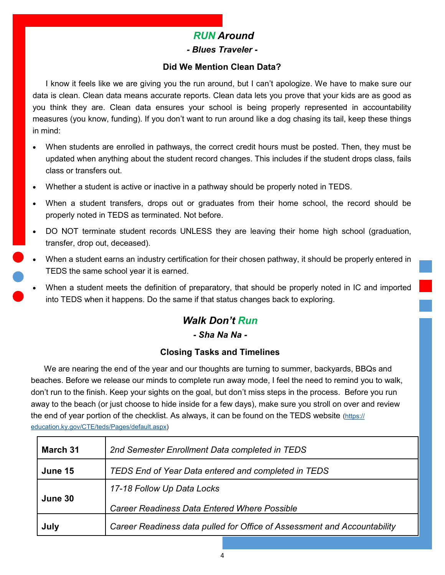# *RUN Around*

#### *- Blues Traveler -*

#### **Did We Mention Clean Data?**

<span id="page-3-0"></span>I know it feels like we are giving you the run around, but I can't apologize. We have to make sure our data is clean. Clean data means accurate reports. Clean data lets you prove that your kids are as good as you think they are. Clean data ensures your school is being properly represented in accountability measures (you know, funding). If you don't want to run around like a dog chasing its tail, keep these things in mind:

- When students are enrolled in pathways, the correct credit hours must be posted. Then, they must be updated when anything about the student record changes. This includes if the student drops class, fails class or transfers out.
- Whether a student is active or inactive in a pathway should be properly noted in TEDS.
- When a student transfers, drops out or graduates from their home school, the record should be properly noted in TEDS as terminated. Not before.
- DO NOT terminate student records UNLESS they are leaving their home high school (graduation, transfer, drop out, deceased).
- When a student earns an industry certification for their chosen pathway, it should be properly entered in TEDS the same school year it is earned.
- When a student meets the definition of preparatory, that should be properly noted in IC and imported into TEDS when it happens. Do the same if that status changes back to exploring.

# *Walk Don't Run*

#### *- Sha Na Na -*

#### **Closing Tasks and Timelines**

We are nearing the end of the year and our thoughts are turning to summer, backyards, BBQs and beaches. Before we release our minds to complete run away mode, I feel the need to remind you to walk, don't run to the finish. Keep your sights on the goal, but don't miss steps in the process. Before you run away to the beach (or just choose to hide inside for a few days), make sure you stroll on over and review the end of year portion of the checklist. As always, it can be found on the TEDS website ([https://](https://education.ky.gov/CTE/teds/Pages/default.aspx) [education.ky.gov/CTE/teds/Pages/default.aspx\)](https://education.ky.gov/CTE/teds/Pages/default.aspx)

| March 31 | 2nd Semester Enrollment Data completed in TEDS                           |
|----------|--------------------------------------------------------------------------|
| June 15  | TEDS End of Year Data entered and completed in TEDS                      |
| June 30  | 17-18 Follow Up Data Locks                                               |
|          | <b>Career Readiness Data Entered Where Possible</b>                      |
| July     | Career Readiness data pulled for Office of Assessment and Accountability |